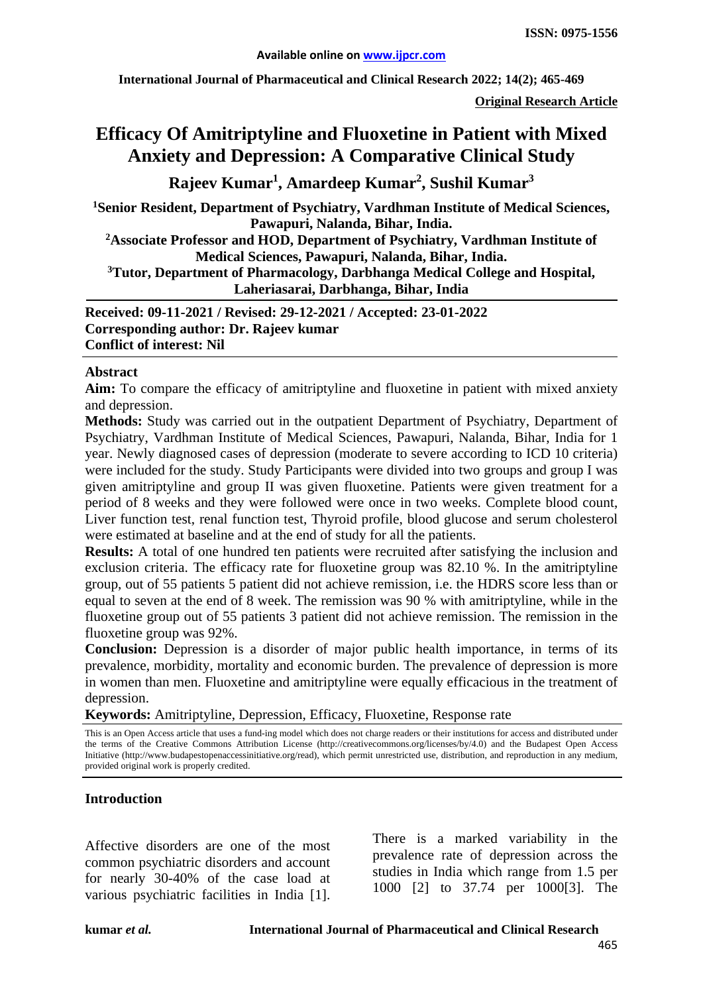**International Journal of Pharmaceutical and Clinical Research 2022; 14(2); 465-469**

**Original Research Article**

# **Efficacy Of Amitriptyline and Fluoxetine in Patient with Mixed Anxiety and Depression: A Comparative Clinical Study**

**Rajeev Kumar1 , Amardeep Kumar2 , Sushil Kumar3**

**1 Senior Resident, Department of Psychiatry, Vardhman Institute of Medical Sciences, Pawapuri, Nalanda, Bihar, India.**

**2 Associate Professor and HOD, Department of Psychiatry, Vardhman Institute of Medical Sciences, Pawapuri, Nalanda, Bihar, India.**

**3 Tutor, Department of Pharmacology, Darbhanga Medical College and Hospital, Laheriasarai, Darbhanga, Bihar, India**

**Received: 09-11-2021 / Revised: 29-12-2021 / Accepted: 23-01-2022 Corresponding author: Dr. Rajeev kumar Conflict of interest: Nil**

#### **Abstract**

**Aim:** To compare the efficacy of amitriptyline and fluoxetine in patient with mixed anxiety and depression.

**Methods:** Study was carried out in the outpatient Department of Psychiatry, Department of Psychiatry, Vardhman Institute of Medical Sciences, Pawapuri, Nalanda, Bihar, India for 1 year. Newly diagnosed cases of depression (moderate to severe according to ICD 10 criteria) were included for the study. Study Participants were divided into two groups and group I was given amitriptyline and group II was given fluoxetine. Patients were given treatment for a period of 8 weeks and they were followed were once in two weeks. Complete blood count, Liver function test, renal function test, Thyroid profile, blood glucose and serum cholesterol were estimated at baseline and at the end of study for all the patients.

**Results:** A total of one hundred ten patients were recruited after satisfying the inclusion and exclusion criteria. The efficacy rate for fluoxetine group was 82.10 %. In the amitriptyline group, out of 55 patients 5 patient did not achieve remission, i.e. the HDRS score less than or equal to seven at the end of 8 week. The remission was 90 % with amitriptyline, while in the fluoxetine group out of 55 patients 3 patient did not achieve remission. The remission in the fluoxetine group was 92%.

**Conclusion:** Depression is a disorder of major public health importance, in terms of its prevalence, morbidity, mortality and economic burden. The prevalence of depression is more in women than men. Fluoxetine and amitriptyline were equally efficacious in the treatment of depression.

**Keywords:** Amitriptyline, Depression, Efficacy, Fluoxetine, Response rate

This is an Open Access article that uses a fund-ing model which does not charge readers or their institutions for access and distributed under the terms of the Creative Commons Attribution License (http://creativecommons.org/licenses/by/4.0) and the Budapest Open Access Initiative (http://www.budapestopenaccessinitiative.org/read), which permit unrestricted use, distribution, and reproduction in any medium, provided original work is properly credited.

#### **Introduction**

Affective disorders are one of the most common psychiatric disorders and account for nearly 30-40% of the case load at various psychiatric facilities in India [1].

There is a marked variability in the prevalence rate of depression across the studies in India which range from 1.5 per 1000 [2] to 37.74 per 1000[3]. The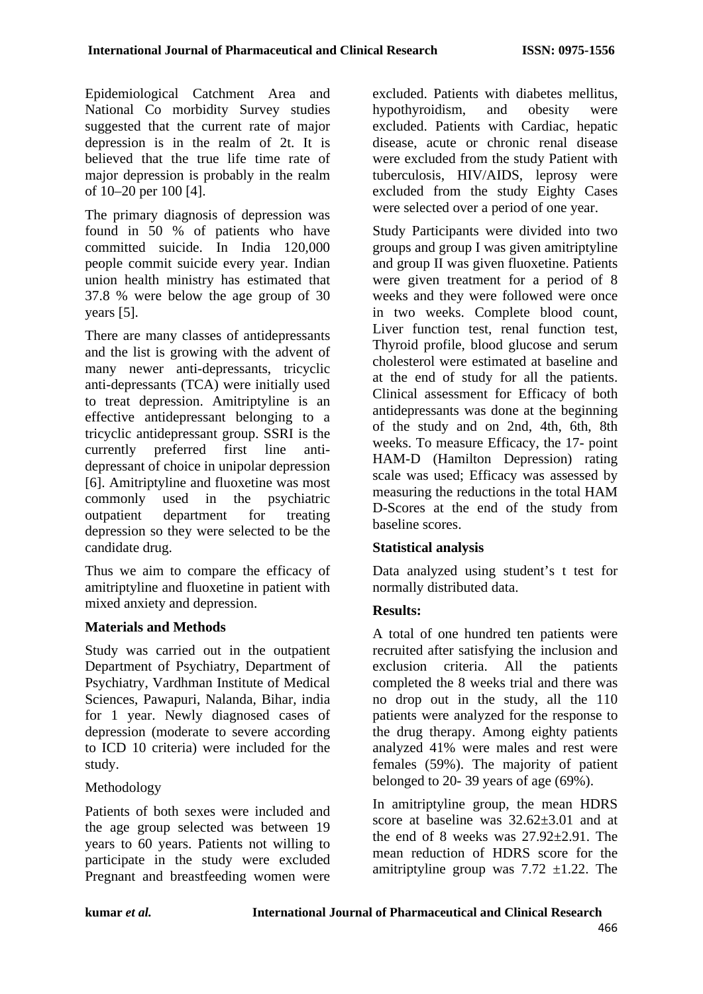Epidemiological Catchment Area and National Co morbidity Survey studies suggested that the current rate of major depression is in the realm of 2t. It is believed that the true life time rate of major depression is probably in the realm of 10–20 per 100 [4].

The primary diagnosis of depression was found in 50 % of patients who have committed suicide. In India 120,000 people commit suicide every year. Indian union health ministry has estimated that 37.8 % were below the age group of 30 years [5].

There are many classes of antidepressants and the list is growing with the advent of many newer anti-depressants, tricyclic anti-depressants (TCA) were initially used to treat depression. Amitriptyline is an effective antidepressant belonging to a tricyclic antidepressant group. SSRI is the currently preferred first line antidepressant of choice in unipolar depression [6]. Amitriptyline and fluoxetine was most commonly used in the psychiatric outpatient department for treating depression so they were selected to be the candidate drug.

Thus we aim to compare the efficacy of amitriptyline and fluoxetine in patient with mixed anxiety and depression.

## **Materials and Methods**

Study was carried out in the outpatient Department of Psychiatry, Department of Psychiatry, Vardhman Institute of Medical Sciences, Pawapuri, Nalanda, Bihar, india for 1 year. Newly diagnosed cases of depression (moderate to severe according to ICD 10 criteria) were included for the study.

## Methodology

Patients of both sexes were included and the age group selected was between 19 years to 60 years. Patients not willing to participate in the study were excluded Pregnant and breastfeeding women were excluded. Patients with diabetes mellitus, hypothyroidism, and obesity were excluded. Patients with Cardiac, hepatic disease, acute or chronic renal disease were excluded from the study Patient with tuberculosis, HIV/AIDS, leprosy were excluded from the study Eighty Cases were selected over a period of one year.

Study Participants were divided into two groups and group I was given amitriptyline and group II was given fluoxetine. Patients were given treatment for a period of 8 weeks and they were followed were once in two weeks. Complete blood count, Liver function test, renal function test, Thyroid profile, blood glucose and serum cholesterol were estimated at baseline and at the end of study for all the patients. Clinical assessment for Efficacy of both antidepressants was done at the beginning of the study and on 2nd, 4th, 6th, 8th weeks. To measure Efficacy, the 17- point HAM-D (Hamilton Depression) rating scale was used; Efficacy was assessed by measuring the reductions in the total HAM D-Scores at the end of the study from baseline scores.

## **Statistical analysis**

Data analyzed using student's t test for normally distributed data.

## **Results:**

A total of one hundred ten patients were recruited after satisfying the inclusion and exclusion criteria. All the patients completed the 8 weeks trial and there was no drop out in the study, all the 110 patients were analyzed for the response to the drug therapy. Among eighty patients analyzed 41% were males and rest were females (59%). The majority of patient belonged to 20- 39 years of age (69%).

In amitriptyline group, the mean HDRS score at baseline was  $32.62 \pm 3.01$  and at the end of 8 weeks was 27.92±2.91. The mean reduction of HDRS score for the amitriptyline group was  $7.72 \pm 1.22$ . The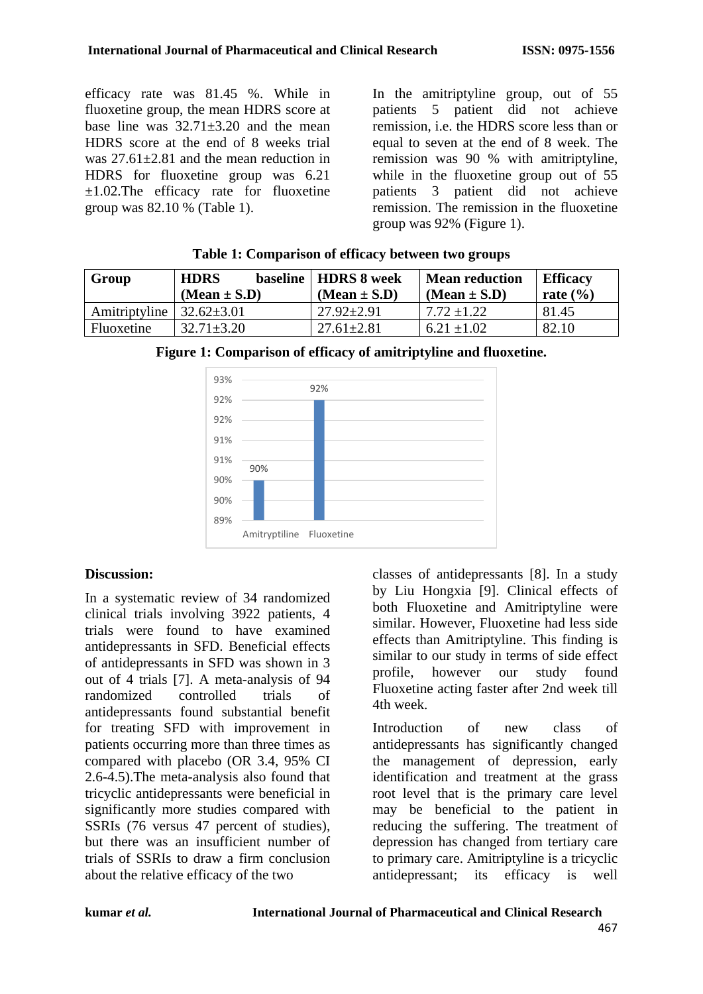efficacy rate was 81.45 %. While in fluoxetine group, the mean HDRS score at base line was  $32.71+3.20$  and the mean HDRS score at the end of 8 weeks trial was  $27.61 \pm 2.81$  and the mean reduction in HDRS for fluoxetine group was 6.21  $\pm 1.02$ . The efficacy rate for fluoxetine group was 82.10 % (Table 1).

In the amitriptyline group, out of 55 patients 5 patient did not achieve remission, i.e. the HDRS score less than or equal to seven at the end of 8 week. The remission was 90 % with amitriptyline, while in the fluoxetine group out of 55 patients 3 patient did not achieve remission. The remission in the fluoxetine group was 92% (Figure 1).

| Group         | <b>HDRS</b><br>$(Mean \pm S.D)$ | baseline   HDRS 8 week<br>$(Mean \pm S.D)$ | <b>Mean reduction</b><br>$(Mean \pm S.D)$ | <b>Efficacy</b><br>rate $(\% )$ |
|---------------|---------------------------------|--------------------------------------------|-------------------------------------------|---------------------------------|
| Amitriptyline | $32.62 \pm 3.01$                | $27.92 \pm 2.91$                           | $7.72 + 1.22$                             | 81.45                           |
| Fluoxetine    | $32.71 \pm 3.20$                | $27.61 + 2.81$                             | $6.21 \pm 1.02$                           | 82.10                           |

| Table 1: Comparison of efficacy between two groups |
|----------------------------------------------------|
|----------------------------------------------------|



## **Figure 1: Comparison of efficacy of amitriptyline and fluoxetine.**

#### **Discussion:**

In a systematic review of 34 randomized clinical trials involving 3922 patients, 4 trials were found to have examined antidepressants in SFD. Beneficial effects of antidepressants in SFD was shown in 3 out of 4 trials [7]. A meta-analysis of 94 randomized controlled trials of antidepressants found substantial benefit for treating SFD with improvement in patients occurring more than three times as compared with placebo (OR 3.4, 95% CI 2.6-4.5).The meta-analysis also found that tricyclic antidepressants were beneficial in significantly more studies compared with SSRIs (76 versus 47 percent of studies), but there was an insufficient number of trials of SSRIs to draw a firm conclusion about the relative efficacy of the two

classes of antidepressants [8]. In a study by Liu Hongxia [9]. Clinical effects of both Fluoxetine and Amitriptyline were similar. However, Fluoxetine had less side effects than Amitriptyline. This finding is similar to our study in terms of side effect profile, however our study found Fluoxetine acting faster after 2nd week till 4th week.

Introduction of new class of antidepressants has significantly changed the management of depression, early identification and treatment at the grass root level that is the primary care level may be beneficial to the patient in reducing the suffering. The treatment of depression has changed from tertiary care to primary care. Amitriptyline is a tricyclic antidepressant; its efficacy is well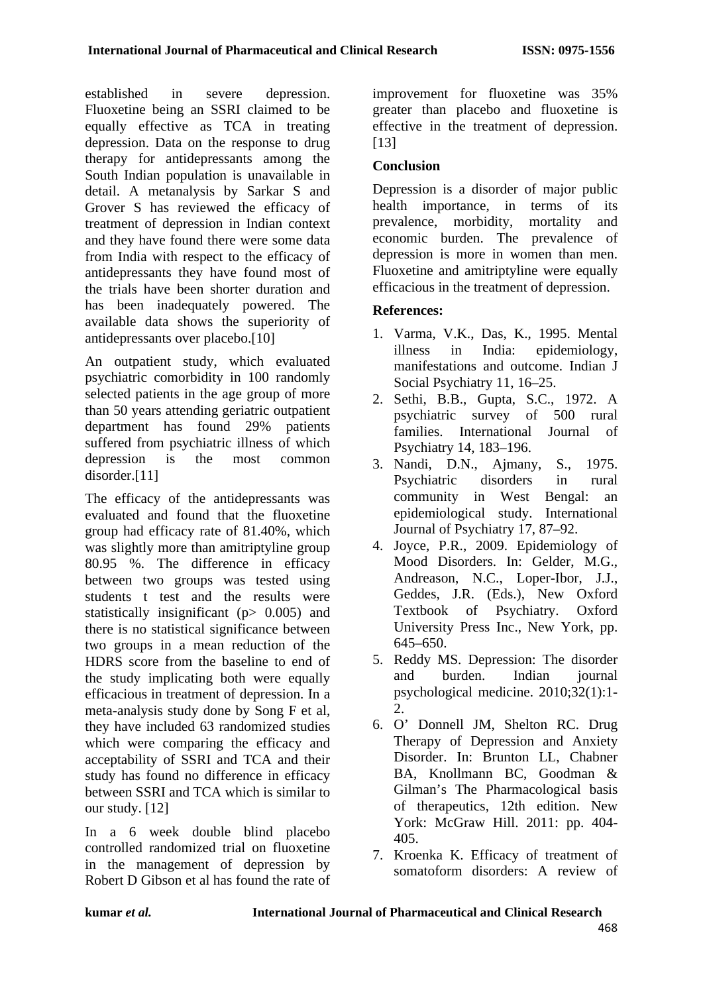established in severe depression. Fluoxetine being an SSRI claimed to be equally effective as TCA in treating depression. Data on the response to drug therapy for antidepressants among the South Indian population is unavailable in detail. A metanalysis by Sarkar S and Grover S has reviewed the efficacy of treatment of depression in Indian context and they have found there were some data from India with respect to the efficacy of antidepressants they have found most of the trials have been shorter duration and has been inadequately powered. The available data shows the superiority of antidepressants over placebo.[10]

An outpatient study, which evaluated psychiatric comorbidity in 100 randomly selected patients in the age group of more than 50 years attending geriatric outpatient department has found 29% patients suffered from psychiatric illness of which depression is the most common disorder.[11]

The efficacy of the antidepressants was evaluated and found that the fluoxetine group had efficacy rate of 81.40%, which was slightly more than amitriptyline group 80.95 %. The difference in efficacy between two groups was tested using students t test and the results were statistically insignificant (p> 0.005) and there is no statistical significance between two groups in a mean reduction of the HDRS score from the baseline to end of the study implicating both were equally efficacious in treatment of depression. In a meta-analysis study done by Song F et al, they have included 63 randomized studies which were comparing the efficacy and acceptability of SSRI and TCA and their study has found no difference in efficacy between SSRI and TCA which is similar to our study. [12]

In a 6 week double blind placebo controlled randomized trial on fluoxetine in the management of depression by Robert D Gibson et al has found the rate of improvement for fluoxetine was 35% greater than placebo and fluoxetine is effective in the treatment of depression. [13]

# **Conclusion**

Depression is a disorder of major public health importance, in terms of its prevalence, morbidity, mortality and economic burden. The prevalence of depression is more in women than men. Fluoxetine and amitriptyline were equally efficacious in the treatment of depression.

# **References:**

- 1. Varma, V.K., Das, K., 1995. Mental illness in India: epidemiology, manifestations and outcome. Indian J Social Psychiatry 11, 16–25.
- 2. Sethi, B.B., Gupta, S.C., 1972. A psychiatric survey of 500 rural families. International Journal of Psychiatry 14, 183–196.
- 3. Nandi, D.N., Ajmany, S., 1975. Psychiatric disorders in rural community in West Bengal: an epidemiological study. International Journal of Psychiatry 17, 87–92.
- 4. Joyce, P.R., 2009. Epidemiology of Mood Disorders. In: Gelder, M.G., Andreason, N.C., Loper-Ibor, J.J., Geddes, J.R. (Eds.), New Oxford Textbook of Psychiatry. Oxford University Press Inc., New York, pp. 645–650.
- 5. Reddy MS. Depression: The disorder and burden. Indian journal psychological medicine. 2010;32(1):1- 2.
- 6. O' Donnell JM, Shelton RC. Drug Therapy of Depression and Anxiety Disorder. In: Brunton LL, Chabner BA, Knollmann BC, Goodman & Gilman's The Pharmacological basis of therapeutics, 12th edition. New York: McGraw Hill. 2011: pp. 404- 405.
- 7. Kroenka K. Efficacy of treatment of somatoform disorders: A review of